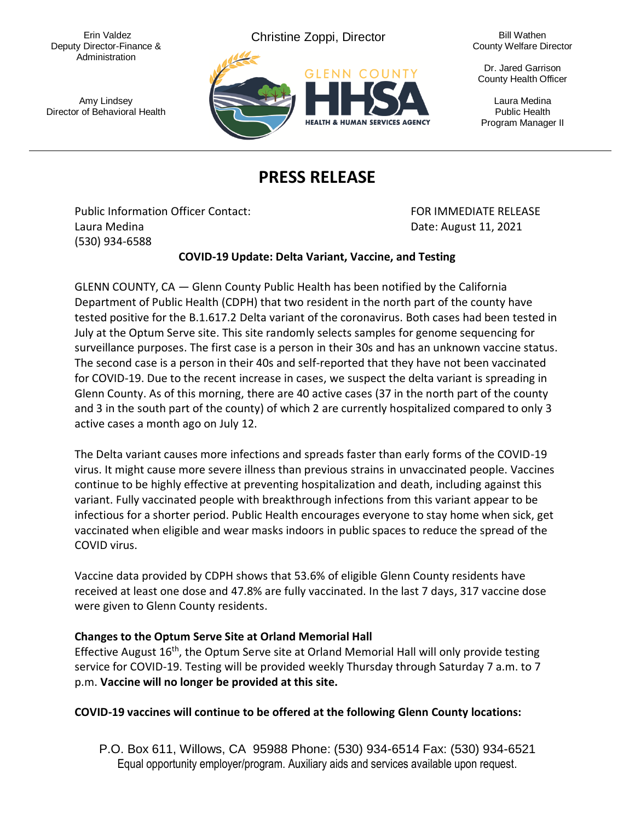Deputy Director-Finance & Administration

Erin Valdez **Christine Zoppi, Director** Bill Wathen



County Welfare Director

Dr. Jared Garrison County Health Officer

Program Manager II

## **PRESS RELEASE**

Public Information Officer Contact: The Contact of Texas FOR IMMEDIATE RELEASE Laura Medina Date: August 11, 2021 (530) 934-6588

## **COVID-19 Update: Delta Variant, Vaccine, and Testing**

GLENN COUNTY, CA — Glenn County Public Health has been notified by the California Department of Public Health (CDPH) that two resident in the north part of the county have tested positive for the B.1.617.2 Delta variant of the coronavirus. Both cases had been tested in July at the Optum Serve site. This site randomly selects samples for genome sequencing for surveillance purposes. The first case is a person in their 30s and has an unknown vaccine status. The second case is a person in their 40s and self-reported that they have not been vaccinated for COVID-19. Due to the recent increase in cases, we suspect the delta variant is spreading in Glenn County. As of this morning, there are 40 active cases (37 in the north part of the county and 3 in the south part of the county) of which 2 are currently hospitalized compared to only 3 active cases a month ago on July 12.

The Delta variant causes more infections and spreads faster than early forms of the COVID-19 virus. It might cause more severe illness than previous strains in unvaccinated people. Vaccines continue to be highly effective at preventing hospitalization and death, including against this variant. Fully vaccinated people with breakthrough infections from this variant appear to be infectious for a shorter period. Public Health encourages everyone to stay home when sick, get vaccinated when eligible and wear masks indoors in public spaces to reduce the spread of the COVID virus.

Vaccine data provided by CDPH shows that 53.6% of eligible Glenn County residents have received at least one dose and 47.8% are fully vaccinated. In the last 7 days, 317 vaccine dose were given to Glenn County residents.

## **Changes to the Optum Serve Site at Orland Memorial Hall**

Effective August 16<sup>th</sup>, the Optum Serve site at Orland Memorial Hall will only provide testing service for COVID-19. Testing will be provided weekly Thursday through Saturday 7 a.m. to 7 p.m. **Vaccine will no longer be provided at this site.**

## **COVID-19 vaccines will continue to be offered at the following Glenn County locations:**

P.O. Box 611, Willows, CA 95988 Phone: (530) 934-6514 Fax: (530) 934-6521 Equal opportunity employer/program. Auxiliary aids and services available upon request.